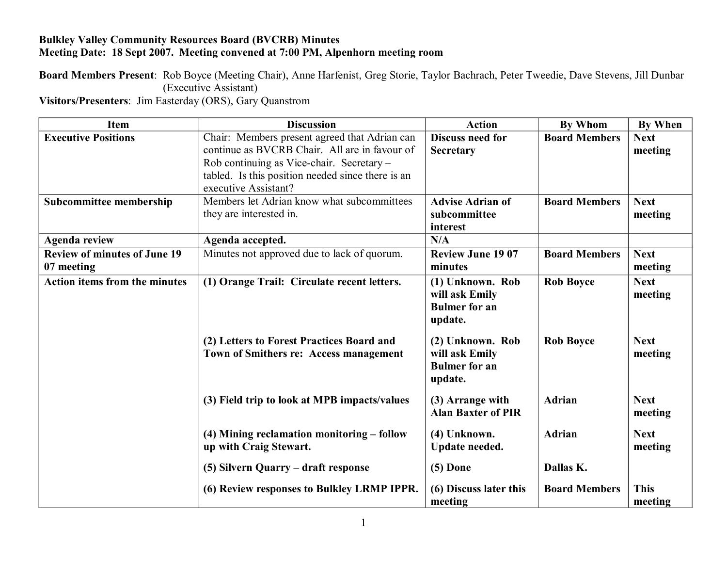## **Bulkley Valley Community Resources Board (BVCRB) Minutes Meeting Date: 18 Sept 2007. Meeting convened at 7:00 PM, Alpenhorn meeting room**

**Board Members Present**: Rob Boyce (Meeting Chair), Anne Harfenist, Greg Storie, Taylor Bachrach, Peter Tweedie, Dave Stevens, Jill Dunbar (Executive Assistant)

**Visitors/Presenters**: Jim Easterday (ORS), Gary Quanstrom

| <b>Item</b>                          | <b>Discussion</b>                                 | <b>Action</b>             | By Whom              | <b>By When</b> |
|--------------------------------------|---------------------------------------------------|---------------------------|----------------------|----------------|
| <b>Executive Positions</b>           | Chair: Members present agreed that Adrian can     | <b>Discuss need for</b>   | <b>Board Members</b> | <b>Next</b>    |
|                                      | continue as BVCRB Chair. All are in favour of     | <b>Secretary</b>          |                      | meeting        |
|                                      | Rob continuing as Vice-chair. Secretary -         |                           |                      |                |
|                                      | tabled. Is this position needed since there is an |                           |                      |                |
|                                      | executive Assistant?                              |                           |                      |                |
| Subcommittee membership              | Members let Adrian know what subcommittees        | <b>Advise Adrian of</b>   | <b>Board Members</b> | <b>Next</b>    |
|                                      | they are interested in.                           | subcommittee              |                      | meeting        |
|                                      |                                                   | interest                  |                      |                |
| <b>Agenda review</b>                 | Agenda accepted.                                  | N/A                       |                      |                |
| <b>Review of minutes of June 19</b>  | Minutes not approved due to lack of quorum.       | <b>Review June 1907</b>   | <b>Board Members</b> | <b>Next</b>    |
| 07 meeting                           |                                                   | minutes                   |                      | meeting        |
| <b>Action items from the minutes</b> | (1) Orange Trail: Circulate recent letters.       | (1) Unknown. Rob          | <b>Rob Boyce</b>     | <b>Next</b>    |
|                                      |                                                   | will ask Emily            |                      | meeting        |
|                                      |                                                   | <b>Bulmer</b> for an      |                      |                |
|                                      |                                                   | update.                   |                      |                |
|                                      | (2) Letters to Forest Practices Board and         | (2) Unknown. Rob          | <b>Rob Boyce</b>     | <b>Next</b>    |
|                                      | Town of Smithers re: Access management            | will ask Emily            |                      | meeting        |
|                                      |                                                   | <b>Bulmer</b> for an      |                      |                |
|                                      |                                                   | update.                   |                      |                |
|                                      |                                                   |                           |                      |                |
|                                      | (3) Field trip to look at MPB impacts/values      | (3) Arrange with          | Adrian               | <b>Next</b>    |
|                                      |                                                   | <b>Alan Baxter of PIR</b> |                      | meeting        |
|                                      | (4) Mining reclamation monitoring - follow        | (4) Unknown.              | <b>Adrian</b>        | <b>Next</b>    |
|                                      | up with Craig Stewart.                            | Update needed.            |                      | meeting        |
|                                      |                                                   |                           |                      |                |
|                                      | (5) Silvern Quarry – draft response               | $(5)$ Done                | Dallas K.            |                |
|                                      | (6) Review responses to Bulkley LRMP IPPR.        | (6) Discuss later this    | <b>Board Members</b> | <b>This</b>    |
|                                      |                                                   | meeting                   |                      | meeting        |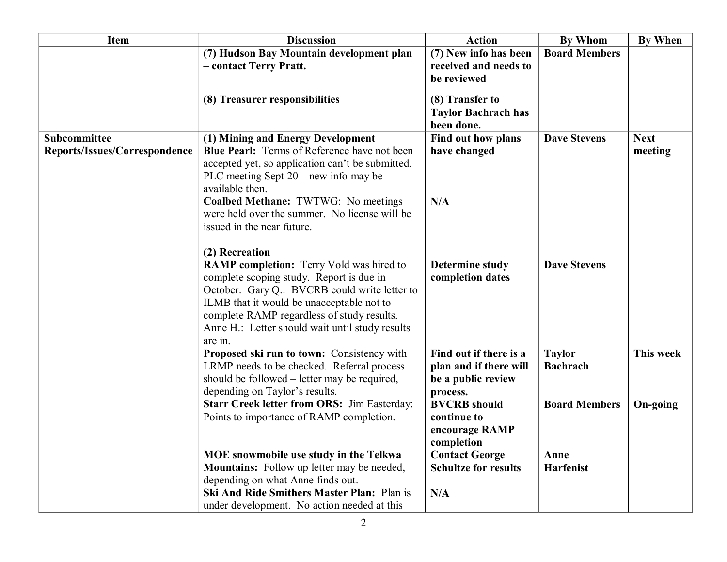| <b>Item</b>                   | <b>Discussion</b>                                  | <b>Action</b>                            | <b>By Whom</b>       | <b>By When</b> |
|-------------------------------|----------------------------------------------------|------------------------------------------|----------------------|----------------|
|                               | (7) Hudson Bay Mountain development plan           | (7) New info has been                    | <b>Board Members</b> |                |
|                               | - contact Terry Pratt.                             | received and needs to                    |                      |                |
|                               |                                                    | be reviewed                              |                      |                |
|                               |                                                    |                                          |                      |                |
|                               | (8) Treasurer responsibilities                     | (8) Transfer to                          |                      |                |
|                               |                                                    | <b>Taylor Bachrach has</b><br>been done. |                      |                |
| Subcommittee                  | (1) Mining and Energy Development                  | Find out how plans                       | <b>Dave Stevens</b>  | <b>Next</b>    |
| Reports/Issues/Correspondence | Blue Pearl: Terms of Reference have not been       | have changed                             |                      | meeting        |
|                               | accepted yet, so application can't be submitted.   |                                          |                      |                |
|                               | PLC meeting Sept $20$ – new info may be            |                                          |                      |                |
|                               | available then.                                    |                                          |                      |                |
|                               | Coalbed Methane: TWTWG: No meetings                | N/A                                      |                      |                |
|                               | were held over the summer. No license will be      |                                          |                      |                |
|                               | issued in the near future.                         |                                          |                      |                |
|                               |                                                    |                                          |                      |                |
|                               | (2) Recreation                                     |                                          |                      |                |
|                               | <b>RAMP</b> completion: Terry Vold was hired to    | <b>Determine study</b>                   | <b>Dave Stevens</b>  |                |
|                               | complete scoping study. Report is due in           | completion dates                         |                      |                |
|                               | October. Gary Q.: BVCRB could write letter to      |                                          |                      |                |
|                               | ILMB that it would be unacceptable not to          |                                          |                      |                |
|                               | complete RAMP regardless of study results.         |                                          |                      |                |
|                               | Anne H.: Letter should wait until study results    |                                          |                      |                |
|                               | are in.                                            |                                          |                      |                |
|                               | Proposed ski run to town: Consistency with         | Find out if there is a                   | <b>Taylor</b>        | This week      |
|                               | LRMP needs to be checked. Referral process         | plan and if there will                   | <b>Bachrach</b>      |                |
|                               | should be followed – letter may be required,       | be a public review                       |                      |                |
|                               | depending on Taylor's results.                     | process.                                 |                      |                |
|                               | <b>Starr Creek letter from ORS: Jim Easterday:</b> | <b>BVCRB</b> should                      | <b>Board Members</b> | On-going       |
|                               | Points to importance of RAMP completion.           | continue to                              |                      |                |
|                               |                                                    | encourage RAMP                           |                      |                |
|                               | MOE snowmobile use study in the Telkwa             | completion<br><b>Contact George</b>      | Anne                 |                |
|                               | <b>Mountains:</b> Follow up letter may be needed,  | <b>Schultze for results</b>              | <b>Harfenist</b>     |                |
|                               | depending on what Anne finds out.                  |                                          |                      |                |
|                               | <b>Ski And Ride Smithers Master Plan: Plan is</b>  | N/A                                      |                      |                |
|                               | under development. No action needed at this        |                                          |                      |                |